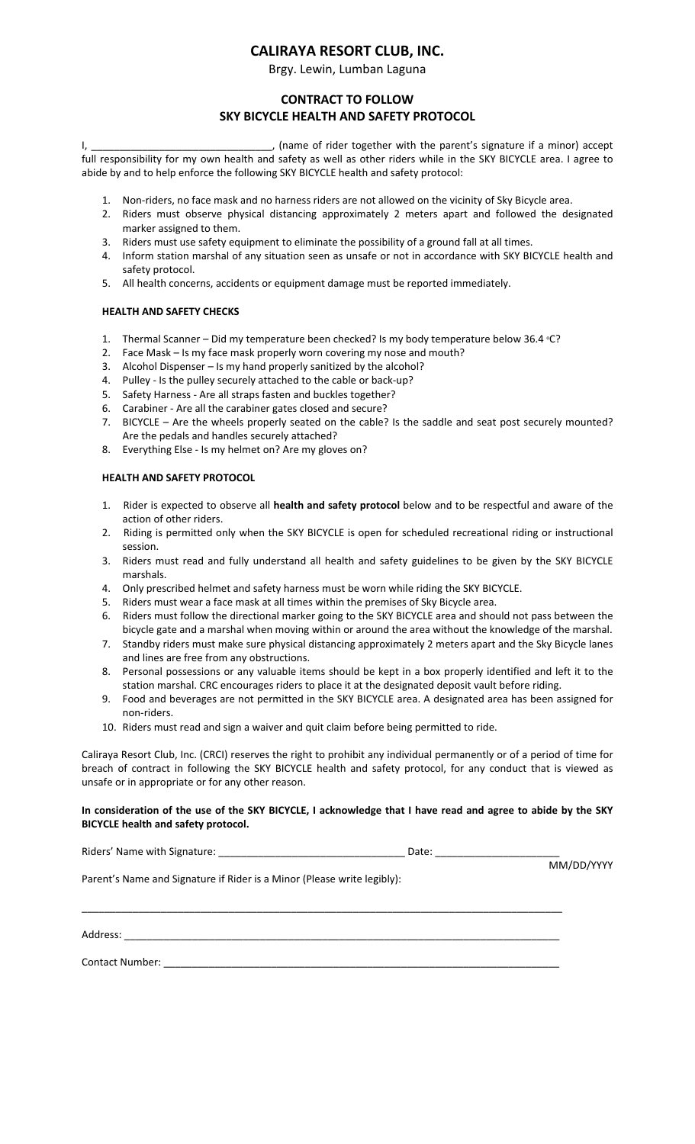# **CALIRAYA RESORT CLUB, INC.**

Brgy. Lewin, Lumban Laguna

## **CONTRACT TO FOLLOW SKY BICYCLE HEALTH AND SAFETY PROTOCOL**

I, \_\_\_\_\_\_\_\_\_\_\_\_\_\_\_\_\_\_\_\_\_\_\_\_\_\_\_\_\_\_\_\_, (name of rider together with the parent's signature if a minor) accept full responsibility for my own health and safety as well as other riders while in the SKY BICYCLE area. I agree to abide by and to help enforce the following SKY BICYCLE health and safety protocol:

- 1. Non-riders, no face mask and no harness riders are not allowed on the vicinity of Sky Bicycle area.
- 2. Riders must observe physical distancing approximately 2 meters apart and followed the designated marker assigned to them.
- 3. Riders must use safety equipment to eliminate the possibility of a ground fall at all times.
- 4. Inform station marshal of any situation seen as unsafe or not in accordance with SKY BICYCLE health and safety protocol.
- 5. All health concerns, accidents or equipment damage must be reported immediately.

### **HEALTH AND SAFETY CHECKS**

- 1. Thermal Scanner Did my temperature been checked? Is my body temperature below 36.4 °C?
- 2. Face Mask Is my face mask properly worn covering my nose and mouth?
- 3. Alcohol Dispenser Is my hand properly sanitized by the alcohol?
- 4. Pulley Is the pulley securely attached to the cable or back-up?
- 5. Safety Harness Are all straps fasten and buckles together?
- 6. Carabiner Are all the carabiner gates closed and secure?
- 7. BICYCLE Are the wheels properly seated on the cable? Is the saddle and seat post securely mounted? Are the pedals and handles securely attached?
- 8. Everything Else Is my helmet on? Are my gloves on?

### **HEALTH AND SAFETY PROTOCOL**

- 1. Rider is expected to observe all **health and safety protocol** below and to be respectful and aware of the action of other riders.
- 2. Riding is permitted only when the SKY BICYCLE is open for scheduled recreational riding or instructional session.
- 3. Riders must read and fully understand all health and safety guidelines to be given by the SKY BICYCLE marshals.
- 4. Only prescribed helmet and safety harness must be worn while riding the SKY BICYCLE.
- 5. Riders must wear a face mask at all times within the premises of Sky Bicycle area.
- 6. Riders must follow the directional marker going to the SKY BICYCLE area and should not pass between the bicycle gate and a marshal when moving within or around the area without the knowledge of the marshal.
- 7. Standby riders must make sure physical distancing approximately 2 meters apart and the Sky Bicycle lanes and lines are free from any obstructions.
- 8. Personal possessions or any valuable items should be kept in a box properly identified and left it to the station marshal. CRC encourages riders to place it at the designated deposit vault before riding.
- 9. Food and beverages are not permitted in the SKY BICYCLE area. A designated area has been assigned for non-riders.
- 10. Riders must read and sign a waiver and quit claim before being permitted to ride.

Caliraya Resort Club, Inc. (CRCI) reserves the right to prohibit any individual permanently or of a period of time for breach of contract in following the SKY BICYCLE health and safety protocol, for any conduct that is viewed as unsafe or in appropriate or for any other reason.

#### **In consideration of the use of the SKY BICYCLE, I acknowledge that I have read and agree to abide by the SKY BICYCLE health and safety protocol.**

Riders' Name with Signature: \_\_\_\_\_\_\_\_\_\_\_\_\_\_\_\_\_\_\_\_\_\_\_\_\_\_\_\_\_\_\_\_\_ Date: \_\_\_\_\_\_\_\_\_\_\_\_\_\_\_\_\_\_\_\_\_\_

MM/DD/YYYY

Parent's Name and Signature if Rider is a Minor (Please write legibly):

Address: \_\_\_\_\_\_\_\_\_\_\_\_\_\_\_\_\_\_\_\_\_\_\_\_\_\_\_\_\_\_\_\_\_\_\_\_\_\_\_\_\_\_\_\_\_\_\_\_\_\_\_\_\_\_\_\_\_\_\_\_\_\_\_\_\_\_\_\_\_\_\_\_\_\_\_\_\_

Contact Number: